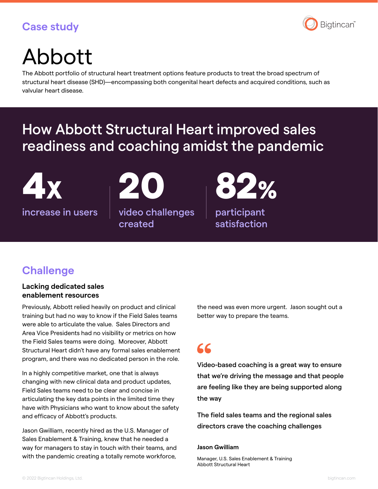### **Case study**



# Abbott

The Abbott portfolio of structural heart treatment options feature products to treat the broad spectrum of structural heart disease (SHD)—encompassing both congenital heart defects and acquired conditions, such as valvular heart disease.

## How Abbott Structural Heart improved sales readiness and coaching amidst the pandemic



 $increases$  in users  $\parallel$  video challenges created



participant satisfaction

### **Challenge**

### **Lacking dedicated sales enablement resources**

Previously, Abbott relied heavily on product and clinical training but had no way to know if the Field Sales teams were able to articulate the value. Sales Directors and Area Vice Presidents had no visibility or metrics on how the Field Sales teams were doing. Moreover, Abbott Structural Heart didn't have any formal sales enablement program, and there was no dedicated person in the role.

In a highly competitive market, one that is always changing with new clinical data and product updates, Field Sales teams need to be clear and concise in articulating the key data points in the limited time they have with Physicians who want to know about the safety and efficacy of Abbott's products.

Jason Gwilliam, recently hired as the U.S. Manager of Sales Enablement & Training, knew that he needed a way for managers to stay in touch with their teams, and with the pandemic creating a totally remote workforce,

the need was even more urgent. Jason sought out a better way to prepare the teams.

## $AC$

Video-based coaching is a great way to ensure that we're driving the message and that people are feeling like they are being supported along the way

The field sales teams and the regional sales directors crave the coaching challenges

### **Jason Gwilliam**

Manager, U.S. Sales Enablement & Training Abbott Structural Heart